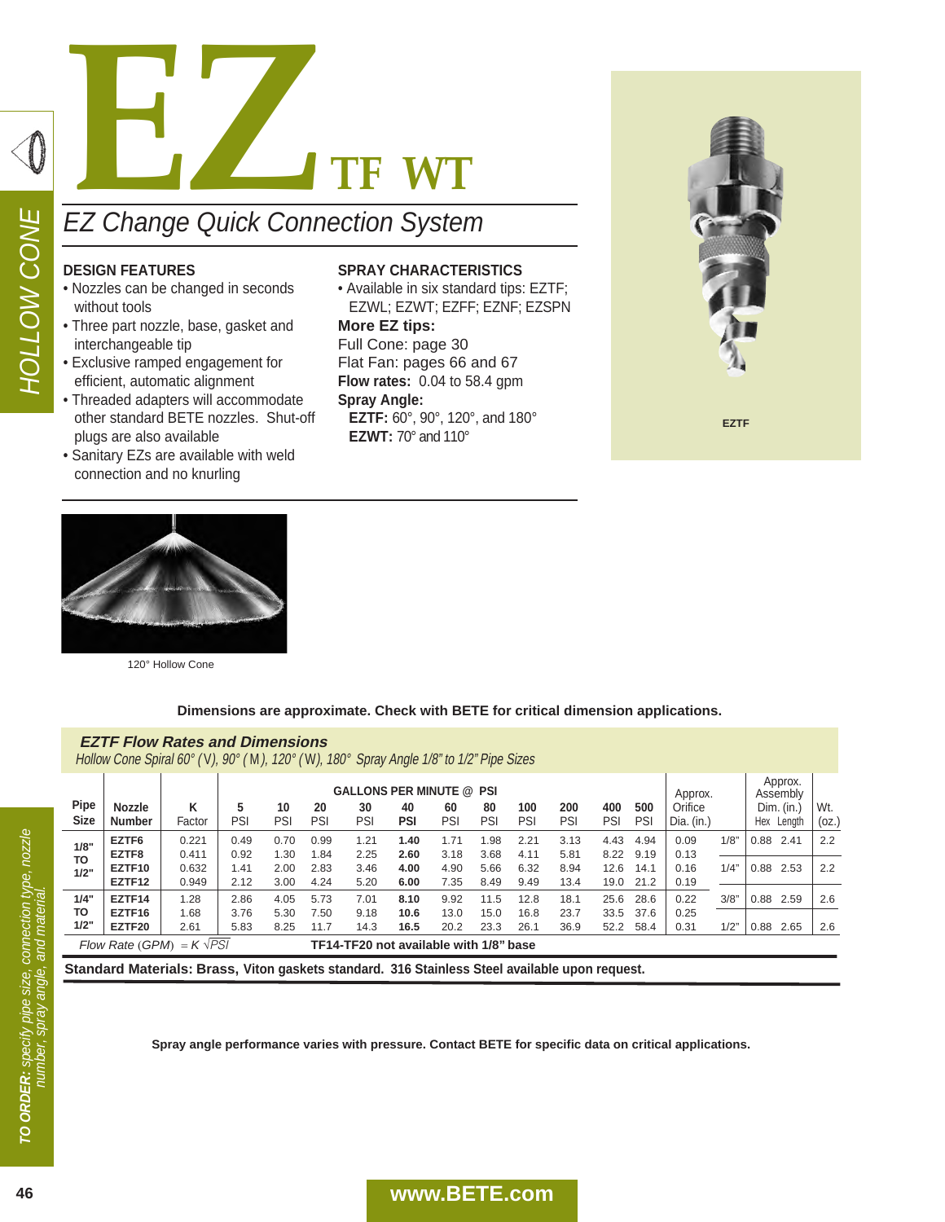

## **DESIGN FEATURES**

- Nozzles can be changed in seconds without tools
- Three part nozzle, base, gasket and interchangeable tip
- Exclusive ramped engagement for efficient, automatic alignment
- Threaded adapters will accommodate other standard BETE nozzles. Shut-off plugs are also available
- Sanitary EZs are available with weld connection and no knurling

#### **SPRAY CHARACTERISTICS**

• Available in six standard tips: EZTF; EZWL; EZWT; EZFF; EZNF; EZSPN

**More EZ tips:** Full Cone: page 30 Flat Fan: pages 66 and 67 **Flow rates:** 0.04 to 58.4 gpm **Spray Angle: EZTF:** 60°, 90°, 120°, and 180° **EZWT:** 70° and 110°





120° Hollow Cone

### **Dimensions are approximate. Check with BETE for critical dimension applications.**

Hollow Cone Spiral 60° ( V), 90° ( M), 120° ( W), 180° Spray Angle 1/8" to 1/2" Pipe Sizes

| <b>Pipe</b><br><b>Size</b>         | <b>Nozzle</b><br><b>Number</b> | κ<br>Factor    | 5<br>PSI     | 10<br>PSI    | 20<br>PSI                              | 30<br>PSI    | <b>GALLONS PER MINUTE @ PSI</b><br>Approx.<br>500<br>Orifice<br>100<br>200<br>400<br>80<br>60<br>40<br>PSI<br>PSI<br>PSI<br>PSI<br>PSI<br>PSI<br>PSI<br>Dia. $(in.)$ |              |              |              |              | Approx.<br>Assembly<br>Dim. (in.)<br>Hex<br>Length |              | Wt.<br>(oz.) |      |      |      |     |
|------------------------------------|--------------------------------|----------------|--------------|--------------|----------------------------------------|--------------|----------------------------------------------------------------------------------------------------------------------------------------------------------------------|--------------|--------------|--------------|--------------|----------------------------------------------------|--------------|--------------|------|------|------|-----|
| 1/8"<br><b>TO</b>                  | EZTF6<br>EZTF8                 | 0.221<br>0.411 | 0.49<br>0.92 | 0.70<br>.30  | 0.99<br>.84                            | 1.21<br>2.25 | 1.40<br>2.60                                                                                                                                                         | 1.71<br>3.18 | .98<br>3.68  | 2.21<br>4.11 | 3.13<br>5.81 | 4.43<br>8.22                                       | 4.94<br>9.19 | 0.09<br>0.13 | 1/8" | 0.88 | 2.41 | 2.2 |
| 1/2"                               | EZTF10<br>EZTF12               | 0.632<br>0.949 | 1.41<br>2.12 | 2.00<br>3.00 | 2.83<br>4.24                           | 3.46<br>5.20 | 4.00<br>6.00                                                                                                                                                         | 4.90<br>7.35 | 5.66<br>8.49 | 6.32<br>9.49 | 8.94<br>13.4 | 12.6<br>19.0                                       | 14.1<br>21.2 | 0.16<br>0.19 | 1/4" | 0.88 | 2.53 | 2.2 |
| 1/4"                               | EZTF14                         | 1.28           | 2.86         | 4.05         | 5.73                                   | 7.01         | 8.10                                                                                                                                                                 | 9.92         | 11.5         | 12.8         | 18.1         | 25.6                                               | 28.6         | 0.22         | 3/8" | 0.88 | 2.59 | 2.6 |
| TO<br>1/2"                         | EZTF16<br>EZTF20               | 1.68<br>2.61   | 3.76<br>5.83 | 5.30<br>8.25 | 7.50<br>11.7                           | 9.18<br>14.3 | 10.6<br>16.5                                                                                                                                                         | 13.0<br>20.2 | 15.0<br>23.3 | 16.8<br>26.1 | 23.7<br>36.9 | 33.5<br>52.2                                       | 37.6<br>58.4 | 0.25<br>0.31 | 1/2  | 0.88 | 2.65 | 2.6 |
| $= K \sqrt{PS}$<br>Flow Rate (GPM) |                                |                |              |              | TF14-TF20 not available with 1/8" base |              |                                                                                                                                                                      |              |              |              |              |                                                    |              |              |      |      |      |     |

**Standard Materials: Brass, Viton gaskets standard. 316 Stainless Steel available upon request.**

**Spray angle performance varies with pressure. Contact BETE for specific data on critical applications.**

# **46 www.BETE.com**